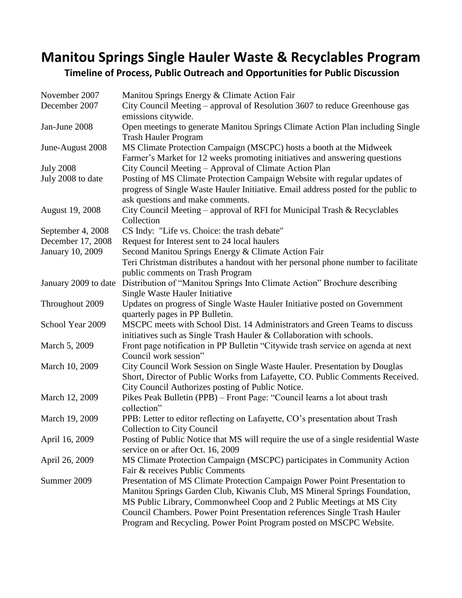## **Manitou Springs Single Hauler Waste & Recyclables Program**

**Timeline of Process, Public Outreach and Opportunities for Public Discussion**

| November 2007          | Manitou Springs Energy & Climate Action Fair                                                   |
|------------------------|------------------------------------------------------------------------------------------------|
| December 2007          | City Council Meeting – approval of Resolution 3607 to reduce Greenhouse gas                    |
|                        | emissions citywide.                                                                            |
| Jan-June 2008          | Open meetings to generate Manitou Springs Climate Action Plan including Single                 |
|                        | <b>Trash Hauler Program</b>                                                                    |
| June-August 2008       | MS Climate Protection Campaign (MSCPC) hosts a booth at the Midweek                            |
|                        | Farmer's Market for 12 weeks promoting initiatives and answering questions                     |
| <b>July 2008</b>       | City Council Meeting – Approval of Climate Action Plan                                         |
| July 2008 to date      | Posting of MS Climate Protection Campaign Website with regular updates of                      |
|                        | progress of Single Waste Hauler Initiative. Email address posted for the public to             |
|                        | ask questions and make comments.                                                               |
| <b>August 19, 2008</b> | City Council Meeting - approval of RFI for Municipal Trash & Recyclables                       |
|                        | Collection                                                                                     |
| September 4, 2008      | CS Indy: "Life vs. Choice: the trash debate"                                                   |
| December 17, 2008      | Request for Interest sent to 24 local haulers                                                  |
| January 10, 2009       | Second Manitou Springs Energy & Climate Action Fair                                            |
|                        | Teri Christman distributes a handout with her personal phone number to facilitate              |
|                        | public comments on Trash Program                                                               |
|                        | January 2009 to date Distribution of "Manitou Springs Into Climate Action" Brochure describing |
|                        | Single Waste Hauler Initiative                                                                 |
| Throughout 2009        | Updates on progress of Single Waste Hauler Initiative posted on Government                     |
|                        | quarterly pages in PP Bulletin.                                                                |
| School Year 2009       | MSCPC meets with School Dist. 14 Administrators and Green Teams to discuss                     |
|                        | initiatives such as Single Trash Hauler & Collaboration with schools.                          |
| March 5, 2009          | Front page notification in PP Bulletin "Citywide trash service on agenda at next               |
|                        | Council work session"                                                                          |
| March 10, 2009         | City Council Work Session on Single Waste Hauler. Presentation by Douglas                      |
|                        | Short, Director of Public Works from Lafayette, CO. Public Comments Received.                  |
|                        | City Council Authorizes posting of Public Notice.                                              |
| March 12, 2009         | Pikes Peak Bulletin (PPB) – Front Page: "Council learns a lot about trash<br>collection"       |
| March 19, 2009         | PPB: Letter to editor reflecting on Lafayette, CO's presentation about Trash                   |
|                        | <b>Collection to City Council</b>                                                              |
| April 16, 2009         | Posting of Public Notice that MS will require the use of a single residential Waste            |
|                        | service on or after Oct. 16, 2009                                                              |
| April 26, 2009         | MS Climate Protection Campaign (MSCPC) participates in Community Action                        |
|                        | Fair & receives Public Comments                                                                |
| Summer 2009            | Presentation of MS Climate Protection Campaign Power Point Presentation to                     |
|                        | Manitou Springs Garden Club, Kiwanis Club, MS Mineral Springs Foundation,                      |
|                        | MS Public Library, Commonwheel Coop and 2 Public Meetings at MS City                           |
|                        | Council Chambers. Power Point Presentation references Single Trash Hauler                      |
|                        | Program and Recycling. Power Point Program posted on MSCPC Website.                            |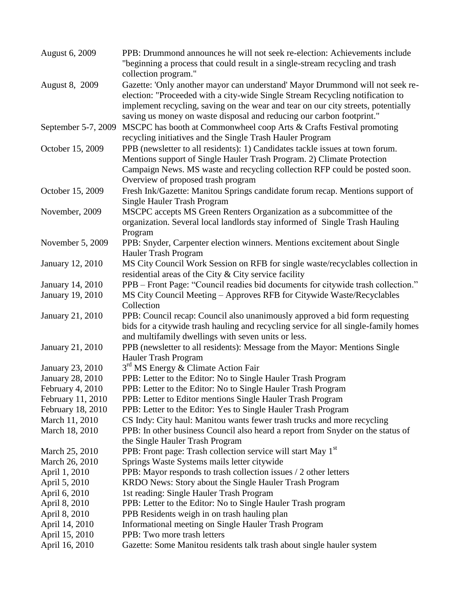| August 6, 2009          | PPB: Drummond announces he will not seek re-election: Achievements include          |
|-------------------------|-------------------------------------------------------------------------------------|
|                         | "beginning a process that could result in a single-stream recycling and trash       |
|                         | collection program."                                                                |
| <b>August 8, 2009</b>   | Gazette: 'Only another mayor can understand' Mayor Drummond will not seek re-       |
|                         | election: "Proceeded with a city-wide Single Stream Recycling notification to       |
|                         | implement recycling, saving on the wear and tear on our city streets, potentially   |
|                         | saving us money on waste disposal and reducing our carbon footprint."               |
| September 5-7, 2009     | MSCPC has booth at Commonwheel coop Arts & Crafts Festival promoting                |
|                         | recycling initiatives and the Single Trash Hauler Program                           |
| October 15, 2009        | PPB (newsletter to all residents): 1) Candidates tackle issues at town forum.       |
|                         | Mentions support of Single Hauler Trash Program. 2) Climate Protection              |
|                         | Campaign News. MS waste and recycling collection RFP could be posted soon.          |
|                         | Overview of proposed trash program                                                  |
| October 15, 2009        | Fresh Ink/Gazette: Manitou Springs candidate forum recap. Mentions support of       |
|                         | Single Hauler Trash Program                                                         |
| November, 2009          | MSCPC accepts MS Green Renters Organization as a subcommittee of the                |
|                         | organization. Several local landlords stay informed of Single Trash Hauling         |
|                         | Program                                                                             |
| November 5, 2009        | PPB: Snyder, Carpenter election winners. Mentions excitement about Single           |
|                         | Hauler Trash Program                                                                |
| January 12, 2010        | MS City Council Work Session on RFB for single waste/recyclables collection in      |
|                         | residential areas of the City & City service facility                               |
| January 14, 2010        | PPB - Front Page: "Council readies bid documents for citywide trash collection."    |
| <b>January 19, 2010</b> | MS City Council Meeting - Approves RFB for Citywide Waste/Recyclables               |
|                         | Collection                                                                          |
| January 21, 2010        | PPB: Council recap: Council also unanimously approved a bid form requesting         |
|                         | bids for a citywide trash hauling and recycling service for all single-family homes |
|                         | and multifamily dwellings with seven units or less.                                 |
| January 21, 2010        | PPB (newsletter to all residents): Message from the Mayor: Mentions Single          |
|                         | Hauler Trash Program                                                                |
| January 23, 2010        | 3 <sup>rd</sup> MS Energy & Climate Action Fair                                     |
| January 28, 2010        | PPB: Letter to the Editor: No to Single Hauler Trash Program                        |
| February 4, 2010        | PPB: Letter to the Editor: No to Single Hauler Trash Program                        |
| February 11, 2010       | PPB: Letter to Editor mentions Single Hauler Trash Program                          |
| February 18, 2010       | PPB: Letter to the Editor: Yes to Single Hauler Trash Program                       |
| March 11, 2010          | CS Indy: City haul: Manitou wants fewer trash trucks and more recycling             |
| March 18, 2010          | PPB: In other business Council also heard a report from Snyder on the status of     |
|                         | the Single Hauler Trash Program                                                     |
| March 25, 2010          | PPB: Front page: Trash collection service will start May 1 <sup>st</sup>            |
| March 26, 2010          | Springs Waste Systems mails letter citywide                                         |
| April 1, 2010           | PPB: Mayor responds to trash collection issues / 2 other letters                    |
| April 5, 2010           | KRDO News: Story about the Single Hauler Trash Program                              |
| April 6, 2010           | 1st reading: Single Hauler Trash Program                                            |
| April 8, 2010           | PPB: Letter to the Editor: No to Single Hauler Trash program                        |
| April 8, 2010           | PPB Residents weigh in on trash hauling plan                                        |
| April 14, 2010          | Informational meeting on Single Hauler Trash Program                                |
| April 15, 2010          | PPB: Two more trash letters                                                         |
| April 16, 2010          | Gazette: Some Manitou residents talk trash about single hauler system               |